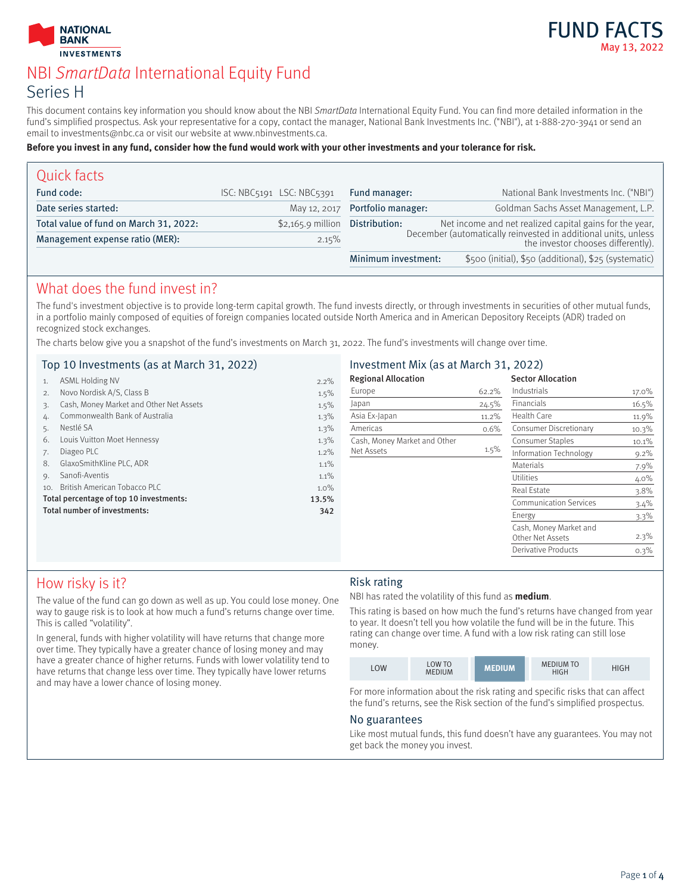



# NBI SmartData International Equity Fund Series H

This document contains key information you should know about the NBI SmartData International Equity Fund. You can find more detailed information in the fund's simplified prospectus. Ask your representative for a copy, contact the manager, National Bank Investments Inc. ("NBI"), at 1-888-270-3941 or send an email to investments@nbc.ca or visit our website at www.nbinvestments.ca.

#### **Before you invest in any fund, consider how the fund would work with your other investments and your tolerance for risk.**

| Quick facts                            |                           |                                 |                                                                                                      |
|----------------------------------------|---------------------------|---------------------------------|------------------------------------------------------------------------------------------------------|
| Fund code:                             | ISC: NBC5191 LSC: NBC5391 | Fund manager:                   | National Bank Investments Inc. ("NBI")                                                               |
| Date series started:                   |                           | May 12, 2017 Portfolio manager: | Goldman Sachs Asset Management, L.P.                                                                 |
| Total value of fund on March 31, 2022: | $$2,165.9$ million        | Distribution:                   | Net income and net realized capital gains for the year,                                              |
| Management expense ratio (MER):        | 2.15%                     |                                 | December (automatically reinvested in additional units, unless<br>the investor chooses differently). |
|                                        |                           | Minimum investment:             | \$500 (initial), \$50 (additional), \$25 (systematic)                                                |

## What does the fund invest in?

The fund's investment objective is to provide long-term capital growth. The fund invests directly, or through investments in securities of other mutual funds, in a portfolio mainly composed of equities of foreign companies located outside North America and in American Depository Receipts (ADR) traded on recognized stock exchanges.

The charts below give you a snapshot of the fund's investments on March 31, 2022. The fund's investments will change over time.

|     | Top 10 Investments (as at March 31, 2022) |         | Investment Mix (as at March 31, 2022) |         |                               |         |
|-----|-------------------------------------------|---------|---------------------------------------|---------|-------------------------------|---------|
|     | <b>ASML Holding NV</b>                    | $2.2\%$ | <b>Regional Allocation</b>            |         | <b>Sector Allocation</b>      |         |
|     | Novo Nordisk A/S, Class B                 | 1.5%    | Europe                                | 62.2%   | Industrials                   | 17.0%   |
|     | Cash, Money Market and Other Net Assets   | $1.5\%$ | Japan                                 | 24.5%   | Financials                    | 16.5%   |
|     | Commonwealth Bank of Australia            | 1.3%    | Asia Ex-Japan                         | 11.2%   | Health Care                   | 11.9%   |
|     | Nestlé SA                                 | 1.3%    | Americas                              | 0.6%    | Consumer Discretionary        | 10.3%   |
| 6.  | Louis Vuitton Moet Hennessy               | $1.3\%$ | Cash, Money Market and Other          |         | <b>Consumer Staples</b>       | 10.1%   |
|     | Diageo PLC                                | $1.2\%$ | Net Assets                            | $1.5\%$ | Information Technology        | $9.2\%$ |
| 8.  | GlaxoSmithKline PLC, ADR                  | 1.1%    |                                       |         | <b>Materials</b>              | 7.9%    |
| 9.  | Sanofi-Aventis                            | 1.1%    |                                       |         | <b>Utilities</b>              | 4.0%    |
| 10. | British American Tobacco PLC              | $1.0\%$ |                                       |         | Real Estate                   | $3.8\%$ |
|     | Total percentage of top 10 investments:   | 13.5%   |                                       |         | <b>Communication Services</b> | 3.4%    |
|     | Total number of investments:              | 342     |                                       |         | Energy                        | $3.3\%$ |
|     |                                           |         |                                       |         | Cash, Money Market and        |         |
|     |                                           |         |                                       |         | Other Net Assets              | $2.3\%$ |
|     |                                           |         |                                       |         | <b>Derivative Products</b>    | 0.3%    |

## How risky is it?

The value of the fund can go down as well as up. You could lose money. One way to gauge risk is to look at how much a fund's returns change over time. This is called "volatility".

In general, funds with higher volatility will have returns that change more over time. They typically have a greater chance of losing money and may have a greater chance of higher returns. Funds with lower volatility tend to have returns that change less over time. They typically have lower returns and may have a lower chance of losing money.

## Risk rating

NBI has rated the volatility of this fund as **medium**.

This rating is based on how much the fund's returns have changed from year to year. It doesn't tell you how volatile the fund will be in the future. This rating can change over time. A fund with a low risk rating can still lose money.

| LOW | <b>LOW TO</b><br><b>MEDIUM</b> | <b>MEDIUM</b> | <b>MEDIUM TO</b><br>HIGH | HIGH |
|-----|--------------------------------|---------------|--------------------------|------|

For more information about the risk rating and specific risks that can affect the fund's returns, see the Risk section of the fund's simplified prospectus.

## No guarantees

Like most mutual funds, this fund doesn't have any guarantees. You may not get back the money you invest.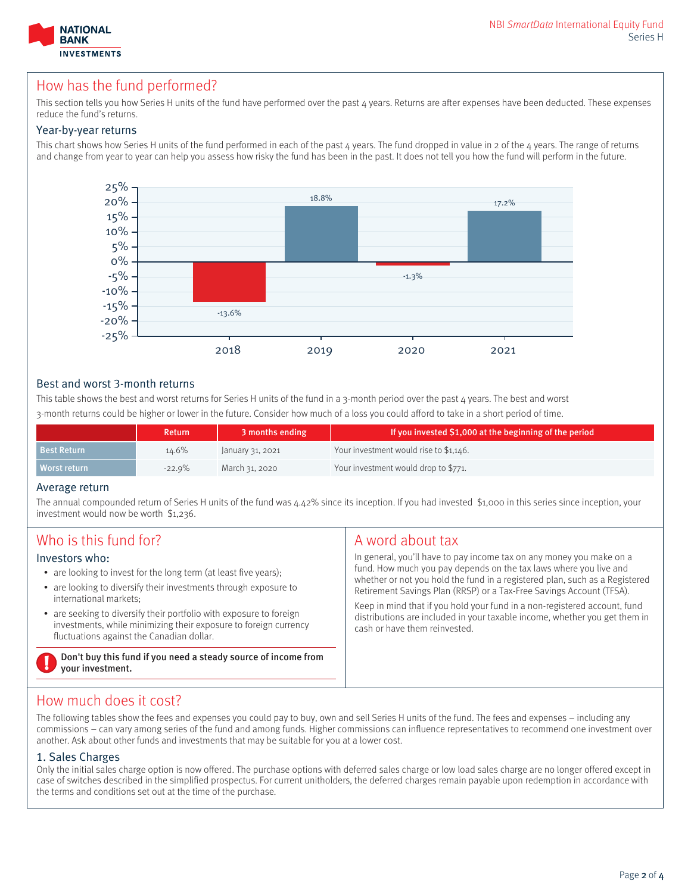

## How has the fund performed?

This section tells you how Series H units of the fund have performed over the past 4 years. Returns are after expenses have been deducted. These expenses reduce the fund's returns.

### Year-by-year returns

This chart shows how Series H units of the fund performed in each of the past  $4$  years. The fund dropped in value in 2 of the  $4$  years. The range of returns and change from year to year can help you assess how risky the fund has been in the past. It does not tell you how the fund will perform in the future.



## Best and worst 3-month returns

This table shows the best and worst returns for Series H units of the fund in a 3-month period over the past  $\mu$  years. The best and worst 3-month returns could be higher or lower in the future. Consider how much of a loss you could afford to take in a short period of time.

|                    | Return    | 3 months ending  | If you invested \$1,000 at the beginning of the period |
|--------------------|-----------|------------------|--------------------------------------------------------|
| <b>Best Return</b> | 14.6%     | January 31, 2021 | Your investment would rise to \$1,146.                 |
| Worst return       | $-22.9\%$ | March 31, 2020   | Your investment would drop to \$771.                   |

#### Average return

The annual compounded return of Series H units of the fund was 4.42% since its inception. If you had invested \$1,000 in this series since inception, your investment would now be worth \$1,236.

| Who is this fund for?                                                              | A word about tax                                                            |  |
|------------------------------------------------------------------------------------|-----------------------------------------------------------------------------|--|
| Investors who:                                                                     | In general, you'll have to pay income tax on any money you make on a        |  |
| • are looking to invest for the long term (at least five years);                   | fund. How much you pay depends on the tax laws where you live and           |  |
| • are looking to diversify their investments through exposure to                   | whether or not you hold the fund in a registered plan, such as a Registered |  |
| international markets:                                                             | Retirement Savings Plan (RRSP) or a Tax-Free Savings Account (TFSA).        |  |
| • are seeking to diversify their portfolio with exposure to foreign                | Keep in mind that if you hold your fund in a non-registered account, fund   |  |
| investments, while minimizing their exposure to foreign currency                   | distributions are included in your taxable income, whether you get them in  |  |
| fluctuations against the Canadian dollar.                                          | cash or have them reinvested.                                               |  |
| Don't buy this fund if you need a steady source of income from<br>your investment. |                                                                             |  |

# How much does it cost?

The following tables show the fees and expenses you could pay to buy, own and sell Series H units of the fund. The fees and expenses – including any commissions – can vary among series of the fund and among funds. Higher commissions can influence representatives to recommend one investment over another. Ask about other funds and investments that may be suitable for you at a lower cost.

#### 1. Sales Charges

Only the initial sales charge option is now offered. The purchase options with deferred sales charge or low load sales charge are no longer offered except in case of switches described in the simplified prospectus. For current unitholders, the deferred charges remain payable upon redemption in accordance with the terms and conditions set out at the time of the purchase.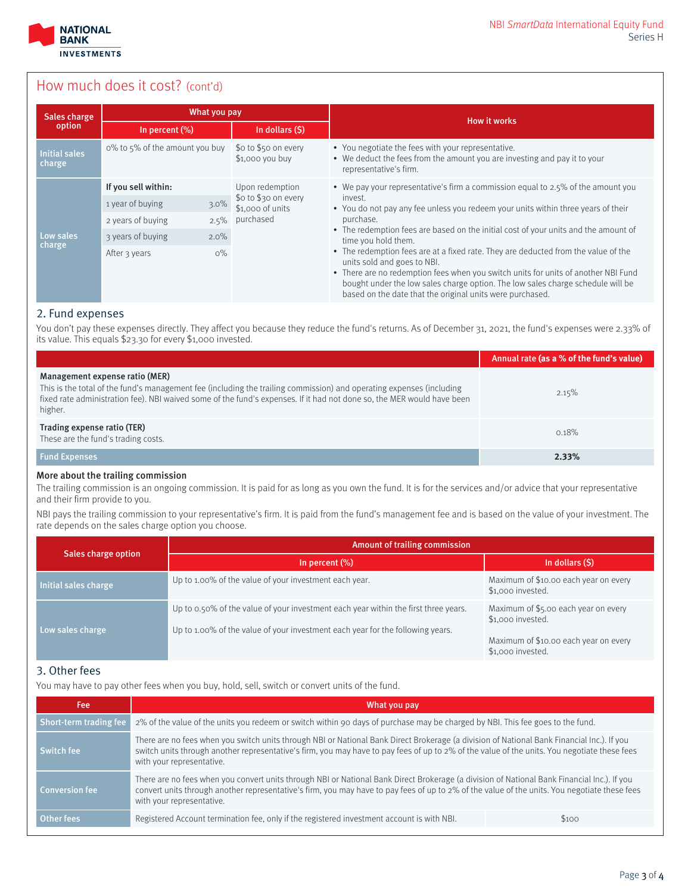

## How much does it cost? (cont'd)

| Sales charge                   | What you pay                           |                                          |                                                                                                                                                                                                                                                                                                                                                         |  |
|--------------------------------|----------------------------------------|------------------------------------------|---------------------------------------------------------------------------------------------------------------------------------------------------------------------------------------------------------------------------------------------------------------------------------------------------------------------------------------------------------|--|
| option                         | In percent $(\%)$                      | In dollars (\$)                          | <b>How it works</b>                                                                                                                                                                                                                                                                                                                                     |  |
| <b>Initial sales</b><br>charge | o% to 5% of the amount you buy         | \$o to \$50 on every<br>\$1,000 you buy  | • You negotiate the fees with your representative.<br>• We deduct the fees from the amount you are investing and pay it to your<br>representative's firm.                                                                                                                                                                                               |  |
|                                | If you sell within:<br>Upon redemption |                                          | • We pay your representative's firm a commission equal to 2.5% of the amount you                                                                                                                                                                                                                                                                        |  |
|                                | $3.0\%$<br>1 year of buying            | \$0 to \$30 on every<br>\$1,000 of units | invest.<br>• You do not pay any fee unless you redeem your units within three years of their                                                                                                                                                                                                                                                            |  |
|                                | $2.5\%$<br>2 years of buying           | purchased                                | purchase.                                                                                                                                                                                                                                                                                                                                               |  |
| Low sales                      | $2.0\%$<br>3 years of buying           |                                          | • The redemption fees are based on the initial cost of your units and the amount of<br>time you hold them.                                                                                                                                                                                                                                              |  |
| charge                         | $0\%$<br>After 3 years                 |                                          | • The redemption fees are at a fixed rate. They are deducted from the value of the<br>units sold and goes to NBI.<br>• There are no redemption fees when you switch units for units of another NBI Fund<br>bought under the low sales charge option. The low sales charge schedule will be<br>based on the date that the original units were purchased. |  |

## 2. Fund expenses

You don't pay these expenses directly. They affect you because they reduce the fund's returns. As of December 31, 2021, the fund's expenses were 2.33% of its value. This equals \$23.30 for every \$1,000 invested.

|                                                                                                                                                                                                                                                                                             | Annual rate (as a % of the fund's value) |
|---------------------------------------------------------------------------------------------------------------------------------------------------------------------------------------------------------------------------------------------------------------------------------------------|------------------------------------------|
| Management expense ratio (MER)<br>This is the total of the fund's management fee (including the trailing commission) and operating expenses (including<br>fixed rate administration fee). NBI waived some of the fund's expenses. If it had not done so, the MER would have been<br>higher. | 2.15%                                    |
| Trading expense ratio (TER)<br>These are the fund's trading costs.                                                                                                                                                                                                                          | 0.18%                                    |
| <b>Fund Expenses</b>                                                                                                                                                                                                                                                                        | 2.33%                                    |

#### More about the trailing commission

The trailing commission is an ongoing commission. It is paid for as long as you own the fund. It is for the services and/or advice that your representative and their firm provide to you.

NBI pays the trailing commission to your representative's firm. It is paid from the fund's management fee and is based on the value of your investment. The rate depends on the sales charge option you choose.

| Sales charge option  | Amount of trailing commission                                                                                                                                         |                                                                                                                         |  |  |
|----------------------|-----------------------------------------------------------------------------------------------------------------------------------------------------------------------|-------------------------------------------------------------------------------------------------------------------------|--|--|
|                      | In percent $(\%)$                                                                                                                                                     | In dollars (\$)                                                                                                         |  |  |
| Initial sales charge | Up to 1.00% of the value of your investment each year.                                                                                                                | Maximum of \$10.00 each year on every<br>\$1,000 invested.                                                              |  |  |
| Low sales charge     | Up to 0.50% of the value of your investment each year within the first three years.<br>Up to 1.00% of the value of your investment each year for the following years. | Maximum of \$5.00 each year on every<br>\$1,000 invested.<br>Maximum of \$10.00 each year on every<br>\$1,000 invested. |  |  |

## 3. Other fees

You may have to pay other fees when you buy, hold, sell, switch or convert units of the fund.

| Fee:                         | What you pay                                                                                                                                                                                                                                                                                                              |       |  |
|------------------------------|---------------------------------------------------------------------------------------------------------------------------------------------------------------------------------------------------------------------------------------------------------------------------------------------------------------------------|-------|--|
| Short-term trading fee       | 2% of the value of the units you redeem or switch within 90 days of purchase may be charged by NBI. This fee goes to the fund.                                                                                                                                                                                            |       |  |
| Switch fee                   | There are no fees when you switch units through NBI or National Bank Direct Brokerage (a division of National Bank Financial Inc.). If you<br>switch units through another representative's firm, you may have to pay fees of up to 2% of the value of the units. You negotiate these fees<br>with your representative.   |       |  |
|                              | There are no fees when you convert units through NBI or National Bank Direct Brokerage (a division of National Bank Financial Inc.). If you<br>convert units through another representative's firm, you may have to pay fees of up to 2% of the value of the units. You negotiate these fees<br>with your representative. |       |  |
|                              | Registered Account termination fee, only if the registered investment account is with NBI.                                                                                                                                                                                                                                | \$100 |  |
| Conversion fee<br>Other fees |                                                                                                                                                                                                                                                                                                                           |       |  |